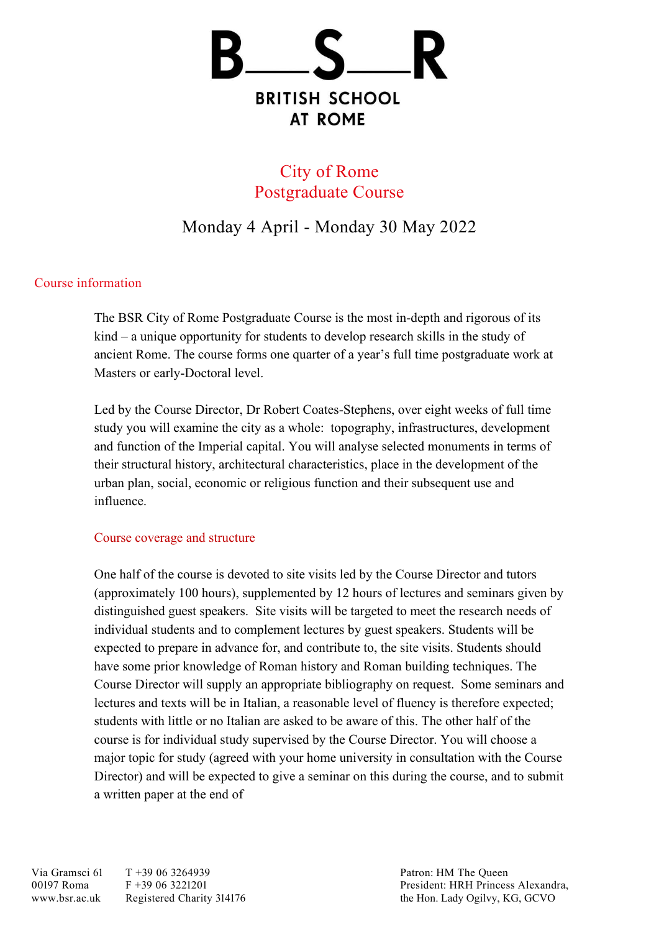

# City of Rome Postgraduate Course

# Monday 4 April - Monday 30 May 2022

# Course information

The BSR City of Rome Postgraduate Course is the most in-depth and rigorous of its kind – a unique opportunity for students to develop research skills in the study of ancient Rome. The course forms one quarter of a year's full time postgraduate work at Masters or early-Doctoral level.

Led by the Course Director, Dr Robert Coates-Stephens, over eight weeks of full time study you will examine the city as a whole: topography, infrastructures, development and function of the Imperial capital. You will analyse selected monuments in terms of their structural history, architectural characteristics, place in the development of the urban plan, social, economic or religious function and their subsequent use and influence.

# Course coverage and structure

One half of the course is devoted to site visits led by the Course Director and tutors (approximately 100 hours), supplemented by 12 hours of lectures and seminars given by distinguished guest speakers. Site visits will be targeted to meet the research needs of individual students and to complement lectures by guest speakers. Students will be expected to prepare in advance for, and contribute to, the site visits. Students should have some prior knowledge of Roman history and Roman building techniques. The Course Director will supply an appropriate bibliography on request. Some seminars and lectures and texts will be in Italian, a reasonable level of fluency is therefore expected; students with little or no Italian are asked to be aware of this. The other half of the course is for individual study supervised by the Course Director. You will choose a major topic for study (agreed with your home university in consultation with the Course Director) and will be expected to give a seminar on this during the course, and to submit a written paper at the end of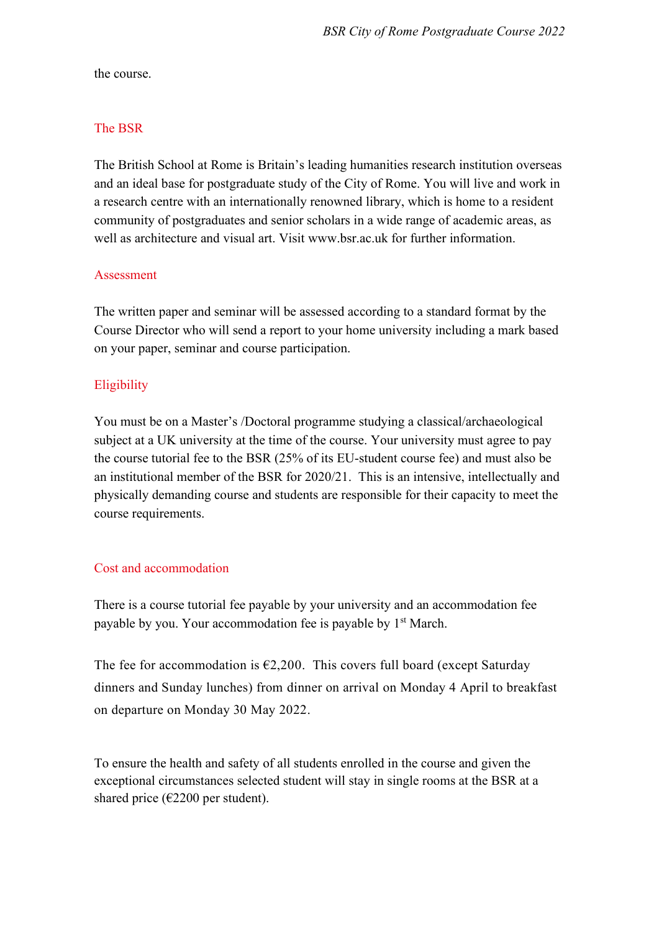the course.

# The BSR

The British School at Rome is Britain's leading humanities research institution overseas and an ideal base for postgraduate study of the City of Rome. You will live and work in a research centre with an internationally renowned library, which is home to a resident community of postgraduates and senior scholars in a wide range of academic areas, as well as architecture and visual art. Visit www.bsr.ac.uk for further information.

# Assessment

The written paper and seminar will be assessed according to a standard format by the Course Director who will send a report to your home university including a mark based on your paper, seminar and course participation.

# **Eligibility**

You must be on a Master's /Doctoral programme studying a classical/archaeological subject at a UK university at the time of the course. Your university must agree to pay the course tutorial fee to the BSR (25% of its EU-student course fee) and must also be an institutional member of the BSR for 2020/21. This is an intensive, intellectually and physically demanding course and students are responsible for their capacity to meet the course requirements.

# Cost and accommodation

There is a course tutorial fee payable by your university and an accommodation fee payable by you. Your accommodation fee is payable by 1<sup>st</sup> March.

The fee for accommodation is  $\epsilon$ 2,200. This covers full board (except Saturday dinners and Sunday lunches) from dinner on arrival on Monday 4 April to breakfast on departure on Monday 30 May 2022.

To ensure the health and safety of all students enrolled in the course and given the exceptional circumstances selected student will stay in single rooms at the BSR at a shared price ( $\epsilon$ 2200 per student).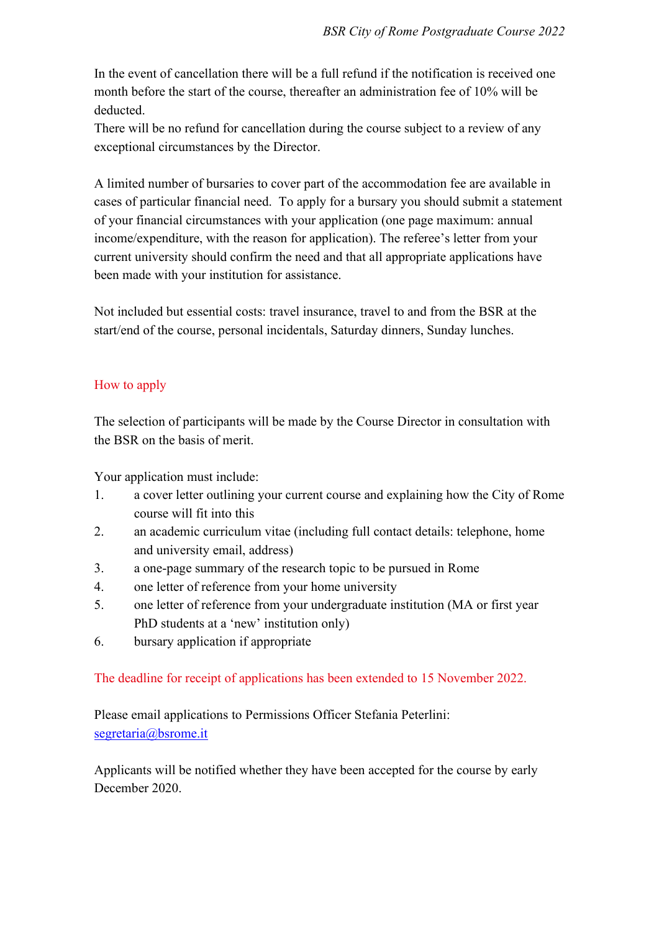In the event of cancellation there will be a full refund if the notification is received one month before the start of the course, thereafter an administration fee of 10% will be deducted.

There will be no refund for cancellation during the course subject to a review of any exceptional circumstances by the Director.

A limited number of bursaries to cover part of the accommodation fee are available in cases of particular financial need. To apply for a bursary you should submit a statement of your financial circumstances with your application (one page maximum: annual income/expenditure, with the reason for application). The referee's letter from your current university should confirm the need and that all appropriate applications have been made with your institution for assistance.

Not included but essential costs: travel insurance, travel to and from the BSR at the start/end of the course, personal incidentals, Saturday dinners, Sunday lunches.

# How to apply

The selection of participants will be made by the Course Director in consultation with the BSR on the basis of merit.

Your application must include:

- 1. a cover letter outlining your current course and explaining how the City of Rome course will fit into this
- 2. an academic curriculum vitae (including full contact details: telephone, home and university email, address)
- 3. a one-page summary of the research topic to be pursued in Rome
- 4. one letter of reference from your home university
- 5. one letter of reference from your undergraduate institution (MA or first year PhD students at a 'new' institution only)
- 6. bursary application if appropriate

The deadline for receipt of applications has been extended to 15 November 2022.

Please email applications to Permissions Officer Stefania Peterlini: [segretaria@bsrome.it](mailto:segretaria@bsrome.it)

Applicants will be notified whether they have been accepted for the course by early December 2020.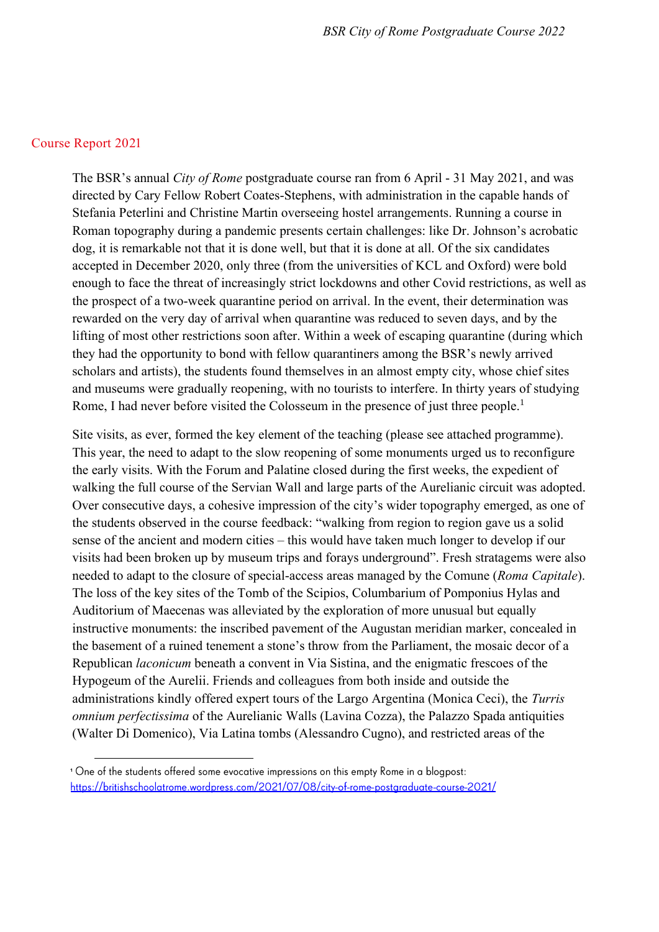### Course Report 2021

The BSR's annual *City of Rome* postgraduate course ran from 6 April - 31 May 2021, and was directed by Cary Fellow Robert Coates-Stephens, with administration in the capable hands of Stefania Peterlini and Christine Martin overseeing hostel arrangements. Running a course in Roman topography during a pandemic presents certain challenges: like Dr. Johnson's acrobatic dog, it is remarkable not that it is done well, but that it is done at all. Of the six candidates accepted in December 2020, only three (from the universities of KCL and Oxford) were bold enough to face the threat of increasingly strict lockdowns and other Covid restrictions, as well as the prospect of a two-week quarantine period on arrival. In the event, their determination was rewarded on the very day of arrival when quarantine was reduced to seven days, and by the lifting of most other restrictions soon after. Within a week of escaping quarantine (during which they had the opportunity to bond with fellow quarantiners among the BSR's newly arrived scholars and artists), the students found themselves in an almost empty city, whose chief sites and museums were gradually reopening, with no tourists to interfere. In thirty years of studying Rome, I had never before visited the Colosseum in the presence of just three people.<sup>1</sup>

Site visits, as ever, formed the key element of the teaching (please see attached programme). This year, the need to adapt to the slow reopening of some monuments urged us to reconfigure the early visits. With the Forum and Palatine closed during the first weeks, the expedient of walking the full course of the Servian Wall and large parts of the Aurelianic circuit was adopted. Over consecutive days, a cohesive impression of the city's wider topography emerged, as one of the students observed in the course feedback: "walking from region to region gave us a solid sense of the ancient and modern cities – this would have taken much longer to develop if our visits had been broken up by museum trips and forays underground". Fresh stratagems were also needed to adapt to the closure of special-access areas managed by the Comune (*Roma Capitale*). The loss of the key sites of the Tomb of the Scipios, Columbarium of Pomponius Hylas and Auditorium of Maecenas was alleviated by the exploration of more unusual but equally instructive monuments: the inscribed pavement of the Augustan meridian marker, concealed in the basement of a ruined tenement a stone's throw from the Parliament, the mosaic decor of a Republican *laconicum* beneath a convent in Via Sistina, and the enigmatic frescoes of the Hypogeum of the Aurelii. Friends and colleagues from both inside and outside the administrations kindly offered expert tours of the Largo Argentina (Monica Ceci), the *Turris omnium perfectissima* of the Aurelianic Walls (Lavina Cozza), the Palazzo Spada antiquities (Walter Di Domenico), Via Latina tombs (Alessandro Cugno), and restricted areas of the

<sup>&</sup>lt;sup>1</sup> One of the students offered some evocative impressions on this empty Rome in a blogpost: https://britishschoolatrome.wordpress.com/2021/07/08/city-of-rome-postaraduate-course-2021/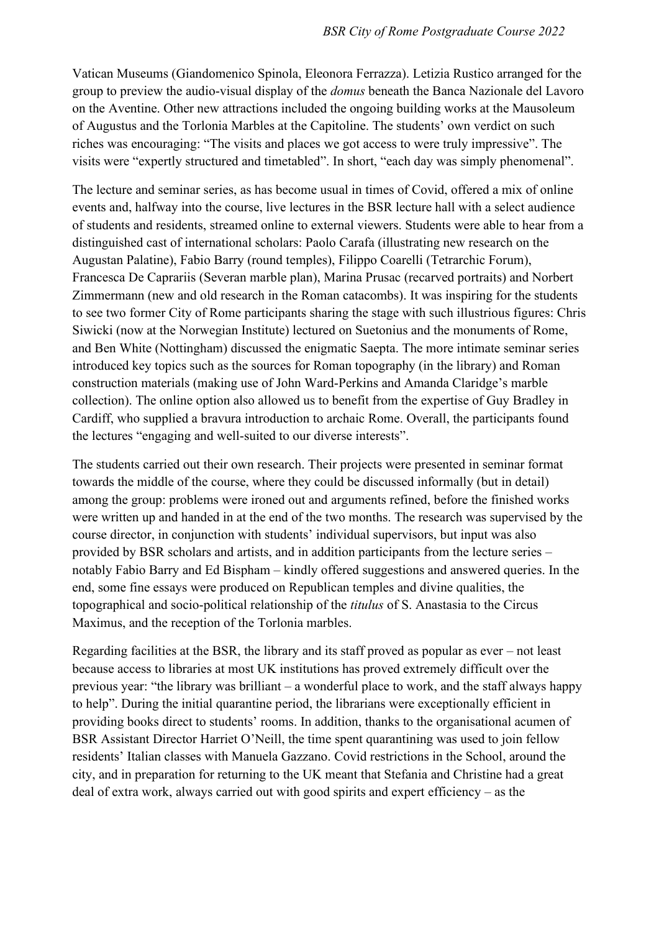Vatican Museums (Giandomenico Spinola, Eleonora Ferrazza). Letizia Rustico arranged for the group to preview the audio-visual display of the *domus* beneath the Banca Nazionale del Lavoro on the Aventine. Other new attractions included the ongoing building works at the Mausoleum of Augustus and the Torlonia Marbles at the Capitoline. The students' own verdict on such riches was encouraging: "The visits and places we got access to were truly impressive". The visits were "expertly structured and timetabled". In short, "each day was simply phenomenal".

The lecture and seminar series, as has become usual in times of Covid, offered a mix of online events and, halfway into the course, live lectures in the BSR lecture hall with a select audience of students and residents, streamed online to external viewers. Students were able to hear from a distinguished cast of international scholars: Paolo Carafa (illustrating new research on the Augustan Palatine), Fabio Barry (round temples), Filippo Coarelli (Tetrarchic Forum), Francesca De Caprariis (Severan marble plan), Marina Prusac (recarved portraits) and Norbert Zimmermann (new and old research in the Roman catacombs). It was inspiring for the students to see two former City of Rome participants sharing the stage with such illustrious figures: Chris Siwicki (now at the Norwegian Institute) lectured on Suetonius and the monuments of Rome, and Ben White (Nottingham) discussed the enigmatic Saepta. The more intimate seminar series introduced key topics such as the sources for Roman topography (in the library) and Roman construction materials (making use of John Ward-Perkins and Amanda Claridge's marble collection). The online option also allowed us to benefit from the expertise of Guy Bradley in Cardiff, who supplied a bravura introduction to archaic Rome. Overall, the participants found the lectures "engaging and well-suited to our diverse interests".

The students carried out their own research. Their projects were presented in seminar format towards the middle of the course, where they could be discussed informally (but in detail) among the group: problems were ironed out and arguments refined, before the finished works were written up and handed in at the end of the two months. The research was supervised by the course director, in conjunction with students' individual supervisors, but input was also provided by BSR scholars and artists, and in addition participants from the lecture series – notably Fabio Barry and Ed Bispham – kindly offered suggestions and answered queries. In the end, some fine essays were produced on Republican temples and divine qualities, the topographical and socio-political relationship of the *titulus* of S. Anastasia to the Circus Maximus, and the reception of the Torlonia marbles.

Regarding facilities at the BSR, the library and its staff proved as popular as ever – not least because access to libraries at most UK institutions has proved extremely difficult over the previous year: "the library was brilliant – a wonderful place to work, and the staff always happy to help". During the initial quarantine period, the librarians were exceptionally efficient in providing books direct to students' rooms. In addition, thanks to the organisational acumen of BSR Assistant Director Harriet O'Neill, the time spent quarantining was used to join fellow residents' Italian classes with Manuela Gazzano. Covid restrictions in the School, around the city, and in preparation for returning to the UK meant that Stefania and Christine had a great deal of extra work, always carried out with good spirits and expert efficiency – as the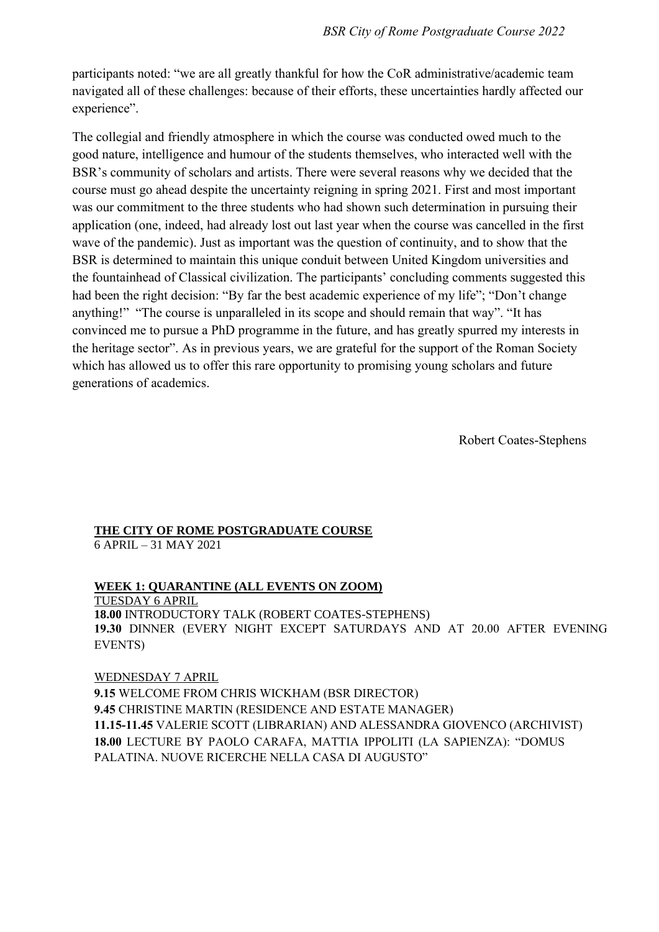participants noted: "we are all greatly thankful for how the CoR administrative/academic team navigated all of these challenges: because of their efforts, these uncertainties hardly affected our experience".

The collegial and friendly atmosphere in which the course was conducted owed much to the good nature, intelligence and humour of the students themselves, who interacted well with the BSR's community of scholars and artists. There were several reasons why we decided that the course must go ahead despite the uncertainty reigning in spring 2021. First and most important was our commitment to the three students who had shown such determination in pursuing their application (one, indeed, had already lost out last year when the course was cancelled in the first wave of the pandemic). Just as important was the question of continuity, and to show that the BSR is determined to maintain this unique conduit between United Kingdom universities and the fountainhead of Classical civilization. The participants' concluding comments suggested this had been the right decision: "By far the best academic experience of my life"; "Don't change anything!" "The course is unparalleled in its scope and should remain that way". "It has convinced me to pursue a PhD programme in the future, and has greatly spurred my interests in the heritage sector". As in previous years, we are grateful for the support of the Roman Society which has allowed us to offer this rare opportunity to promising young scholars and future generations of academics.

Robert Coates-Stephens

#### **THE CITY OF ROME POSTGRADUATE COURSE** 6 APRIL – 31 MAY 2021

#### **WEEK 1: QUARANTINE (ALL EVENTS ON ZOOM)** TUESDAY 6 APRIL

**18.00** INTRODUCTORY TALK (ROBERT COATES-STEPHENS) **19.30** DINNER (EVERY NIGHT EXCEPT SATURDAYS AND AT 20.00 AFTER EVENING EVENTS)

WEDNESDAY 7 APRIL **9.15** WELCOME FROM CHRIS WICKHAM (BSR DIRECTOR) **9.45** CHRISTINE MARTIN (RESIDENCE AND ESTATE MANAGER) **11.15-11.45** VALERIE SCOTT (LIBRARIAN) AND ALESSANDRA GIOVENCO (ARCHIVIST) **18.00** LECTURE BY PAOLO CARAFA, MATTIA IPPOLITI (LA SAPIENZA): "DOMUS PALATINA. NUOVE RICERCHE NELLA CASA DI AUGUSTO"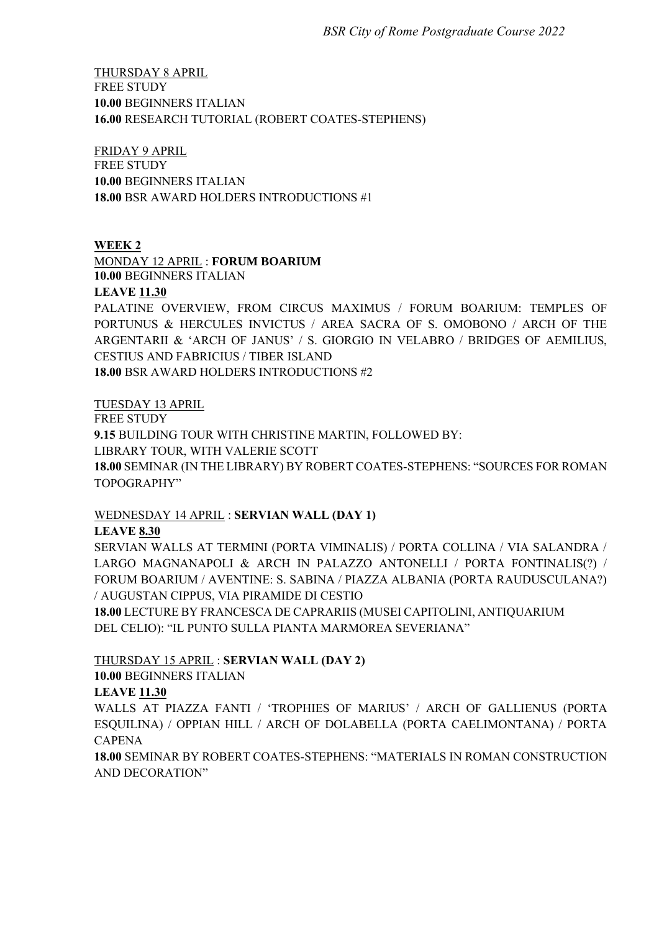THURSDAY 8 APRIL FREE STUDY **10.00** BEGINNERS ITALIAN **16.00** RESEARCH TUTORIAL (ROBERT COATES-STEPHENS)

FRIDAY 9 APRIL FREE STUDY **10.00** BEGINNERS ITALIAN **18.00** BSR AWARD HOLDERS INTRODUCTIONS #1

### **WEEK 2**

MONDAY 12 APRIL : **FORUM BOARIUM**

**10.00** BEGINNERS ITALIAN

#### **LEAVE 11.30**

PALATINE OVERVIEW, FROM CIRCUS MAXIMUS / FORUM BOARIUM: TEMPLES OF PORTUNUS & HERCULES INVICTUS / AREA SACRA OF S. OMOBONO / ARCH OF THE ARGENTARII & 'ARCH OF JANUS' / S. GIORGIO IN VELABRO / BRIDGES OF AEMILIUS, CESTIUS AND FABRICIUS / TIBER ISLAND **18.00** BSR AWARD HOLDERS INTRODUCTIONS #2

TUESDAY 13 APRIL

FREE STUDY

**9.15** BUILDING TOUR WITH CHRISTINE MARTIN, FOLLOWED BY:

LIBRARY TOUR, WITH VALERIE SCOTT

**18.00** SEMINAR (IN THE LIBRARY) BY ROBERT COATES-STEPHENS: "SOURCES FOR ROMAN TOPOGRAPHY"

# WEDNESDAY 14 APRIL : **SERVIAN WALL (DAY 1)**

#### **LEAVE 8.30**

SERVIAN WALLS AT TERMINI (PORTA VIMINALIS) / PORTA COLLINA / VIA SALANDRA / LARGO MAGNANAPOLI & ARCH IN PALAZZO ANTONELLI / PORTA FONTINALIS(?) / FORUM BOARIUM / AVENTINE: S. SABINA / PIAZZA ALBANIA (PORTA RAUDUSCULANA?) / AUGUSTAN CIPPUS, VIA PIRAMIDE DI CESTIO

**18.00** LECTURE BY FRANCESCA DE CAPRARIIS (MUSEI CAPITOLINI, ANTIQUARIUM DEL CELIO): "IL PUNTO SULLA PIANTA MARMOREA SEVERIANA"

# THURSDAY 15 APRIL : **SERVIAN WALL (DAY 2)**

#### **10.00** BEGINNERS ITALIAN

# **LEAVE 11.30**

WALLS AT PIAZZA FANTI / 'TROPHIES OF MARIUS' / ARCH OF GALLIENUS (PORTA ESQUILINA) / OPPIAN HILL / ARCH OF DOLABELLA (PORTA CAELIMONTANA) / PORTA CAPENA

**18.00** SEMINAR BY ROBERT COATES-STEPHENS: "MATERIALS IN ROMAN CONSTRUCTION AND DECORATION"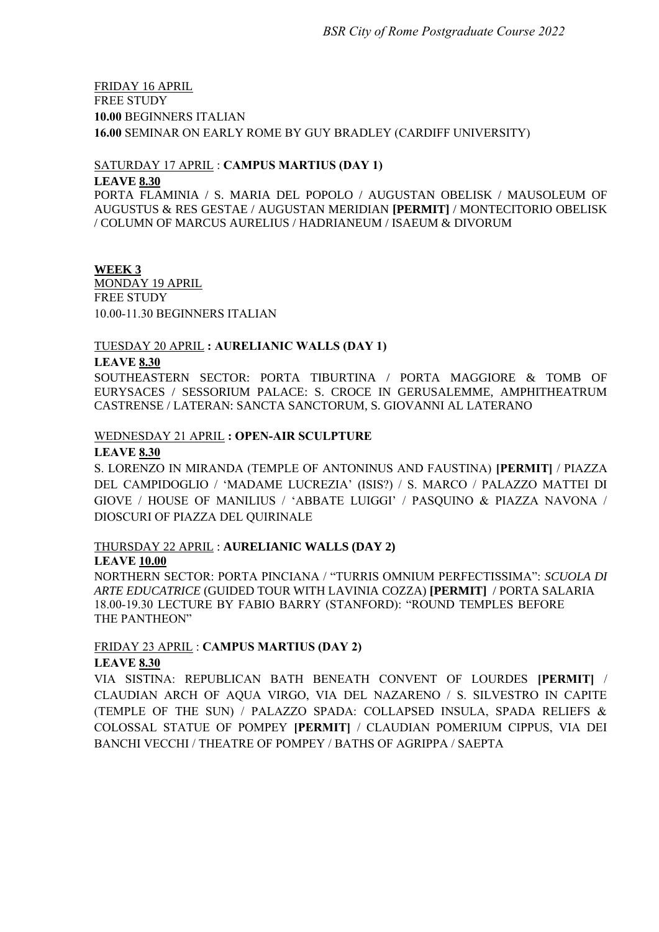# FRIDAY 16 APRIL FREE STUDY **10.00** BEGINNERS ITALIAN **16.00** SEMINAR ON EARLY ROME BY GUY BRADLEY (CARDIFF UNIVERSITY)

### SATURDAY 17 APRIL : **CAMPUS MARTIUS (DAY 1)**

#### **LEAVE 8.30**

PORTA FLAMINIA / S. MARIA DEL POPOLO / AUGUSTAN OBELISK / MAUSOLEUM OF AUGUSTUS & RES GESTAE / AUGUSTAN MERIDIAN **[PERMIT]** / MONTECITORIO OBELISK / COLUMN OF MARCUS AURELIUS / HADRIANEUM / ISAEUM & DIVORUM

### **WEEK 3**

MONDAY 19 APRIL FREE STUDY 10.00-11.30 BEGINNERS ITALIAN

### TUESDAY 20 APRIL **: AURELIANIC WALLS (DAY 1)**

### **LEAVE 8.30**

SOUTHEASTERN SECTOR: PORTA TIBURTINA / PORTA MAGGIORE & TOMB OF EURYSACES / SESSORIUM PALACE: S. CROCE IN GERUSALEMME, AMPHITHEATRUM CASTRENSE / LATERAN: SANCTA SANCTORUM, S. GIOVANNI AL LATERANO

# WEDNESDAY 21 APRIL **: OPEN-AIR SCULPTURE**

#### **LEAVE 8.30**

S. LORENZO IN MIRANDA (TEMPLE OF ANTONINUS AND FAUSTINA) **[PERMIT]** / PIAZZA DEL CAMPIDOGLIO / 'MADAME LUCREZIA' (ISIS?) / S. MARCO / PALAZZO MATTEI DI GIOVE / HOUSE OF MANILIUS / 'ABBATE LUIGGI' / PASQUINO & PIAZZA NAVONA / DIOSCURI OF PIAZZA DEL QUIRINALE

# THURSDAY 22 APRIL : **AURELIANIC WALLS (DAY 2)**

### **LEAVE 10.00**

NORTHERN SECTOR: PORTA PINCIANA / "TURRIS OMNIUM PERFECTISSIMA": *SCUOLA DI ARTE EDUCATRICE* (GUIDED TOUR WITH LAVINIA COZZA) **[PERMIT]** / PORTA SALARIA 18.00-19.30 LECTURE BY FABIO BARRY (STANFORD): "ROUND TEMPLES BEFORE THE PANTHEON"

# FRIDAY 23 APRIL : **CAMPUS MARTIUS (DAY 2)**

#### **LEAVE 8.30**

VIA SISTINA: REPUBLICAN BATH BENEATH CONVENT OF LOURDES **[PERMIT]** / CLAUDIAN ARCH OF AQUA VIRGO, VIA DEL NAZARENO / S. SILVESTRO IN CAPITE (TEMPLE OF THE SUN) / PALAZZO SPADA: COLLAPSED INSULA, SPADA RELIEFS  $\&$ COLOSSAL STATUE OF POMPEY **[PERMIT]** / CLAUDIAN POMERIUM CIPPUS, VIA DEI BANCHI VECCHI / THEATRE OF POMPEY / BATHS OF AGRIPPA / SAEPTA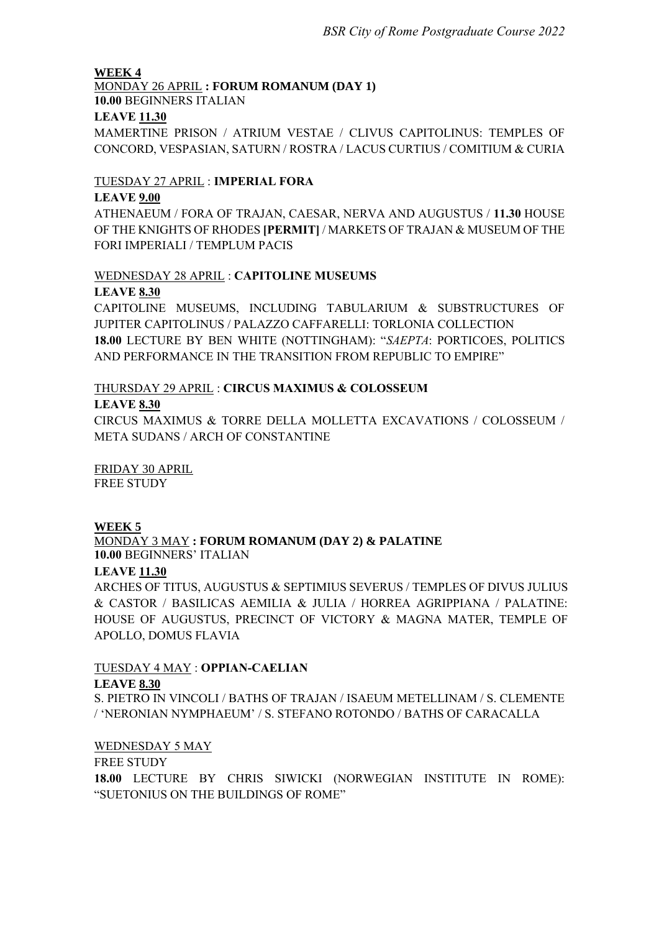### **WEEK 4**

# MONDAY 26 APRIL **: FORUM ROMANUM (DAY 1)**

**10.00** BEGINNERS ITALIAN

### **LEAVE 11.30**

MAMERTINE PRISON / ATRIUM VESTAE / CLIVUS CAPITOLINUS: TEMPLES OF CONCORD, VESPASIAN, SATURN / ROSTRA / LACUS CURTIUS / COMITIUM & CURIA

# TUESDAY 27 APRIL : **IMPERIAL FORA**

### **LEAVE 9.00**

ATHENAEUM / FORA OF TRAJAN, CAESAR, NERVA AND AUGUSTUS / **11.30** HOUSE OF THE KNIGHTS OF RHODES **[PERMIT]** / MARKETS OF TRAJAN & MUSEUM OF THE FORI IMPERIALI / TEMPLUM PACIS

# WEDNESDAY 28 APRIL : **CAPITOLINE MUSEUMS**

### **LEAVE 8.30**

CAPITOLINE MUSEUMS, INCLUDING TABULARIUM & SUBSTRUCTURES OF JUPITER CAPITOLINUS / PALAZZO CAFFARELLI: TORLONIA COLLECTION **18.00** LECTURE BY BEN WHITE (NOTTINGHAM): "*SAEPTA*: PORTICOES, POLITICS AND PERFORMANCE IN THE TRANSITION FROM REPUBLIC TO EMPIRE"

# THURSDAY 29 APRIL : **CIRCUS MAXIMUS & COLOSSEUM**

#### **LEAVE 8.30**

CIRCUS MAXIMUS & TORRE DELLA MOLLETTA EXCAVATIONS / COLOSSEUM / META SUDANS / ARCH OF CONSTANTINE

FRIDAY 30 APRIL FREE STUDY

# **WEEK 5**

#### MONDAY 3 MAY **: FORUM ROMANUM (DAY 2) & PALATINE 10.00** BEGINNERS' ITALIAN

#### **LEAVE 11.30**

ARCHES OF TITUS, AUGUSTUS & SEPTIMIUS SEVERUS / TEMPLES OF DIVUS JULIUS & CASTOR / BASILICAS AEMILIA & JULIA / HORREA AGRIPPIANA / PALATINE: HOUSE OF AUGUSTUS, PRECINCT OF VICTORY & MAGNA MATER, TEMPLE OF APOLLO, DOMUS FLAVIA

### TUESDAY 4 MAY : **OPPIAN-CAELIAN LEAVE 8.30**

S. PIETRO IN VINCOLI / BATHS OF TRAJAN / ISAEUM METELLINAM / S. CLEMENTE / 'NERONIAN NYMPHAEUM' / S. STEFANO ROTONDO / BATHS OF CARACALLA

# WEDNESDAY 5 MAY

#### FREE STUDY

**18.00** LECTURE BY CHRIS SIWICKI (NORWEGIAN INSTITUTE IN ROME): "SUETONIUS ON THE BUILDINGS OF ROME"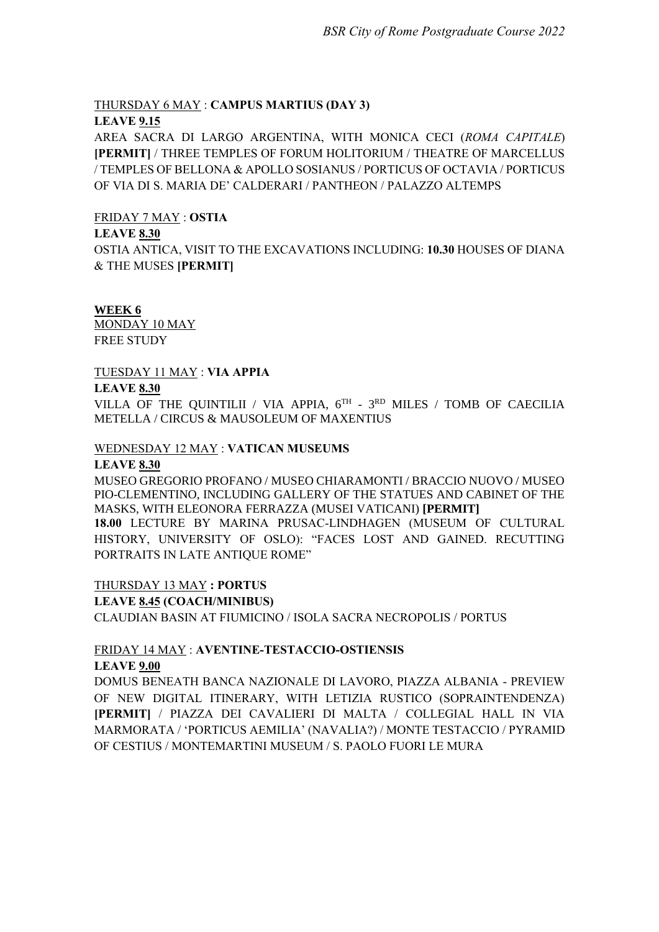# THURSDAY 6 MAY : **CAMPUS MARTIUS (DAY 3)**

#### **LEAVE 9.15**

AREA SACRA DI LARGO ARGENTINA, WITH MONICA CECI (*ROMA CAPITALE*) **[PERMIT]** / THREE TEMPLES OF FORUM HOLITORIUM / THEATRE OF MARCELLUS / TEMPLES OF BELLONA & APOLLO SOSIANUS / PORTICUS OF OCTAVIA / PORTICUS OF VIA DI S. MARIA DE' CALDERARI / PANTHEON / PALAZZO ALTEMPS

#### FRIDAY 7 MAY : **OSTIA**

#### **LEAVE 8.30**

OSTIA ANTICA, VISIT TO THE EXCAVATIONS INCLUDING: **10.30** HOUSES OF DIANA & THE MUSES **[PERMIT]**

#### **WEEK 6**

MONDAY 10 MAY FREE STUDY

### TUESDAY 11 MAY : **VIA APPIA**

#### **LEAVE 8.30**

VILLA OF THE QUINTILII / VIA APPIA,  $6^{TH}$  -  $3^{RD}$  MILES / TOMB OF CAECILIA METELLA / CIRCUS & MAUSOLEUM OF MAXENTIUS

#### WEDNESDAY 12 MAY : **VATICAN MUSEUMS**

#### **LEAVE 8.30**

MUSEO GREGORIO PROFANO / MUSEO CHIARAMONTI / BRACCIO NUOVO / MUSEO PIO-CLEMENTINO, INCLUDING GALLERY OF THE STATUES AND CABINET OF THE MASKS, WITH ELEONORA FERRAZZA (MUSEI VATICANI) **[PERMIT] 18.00** LECTURE BY MARINA PRUSAC-LINDHAGEN (MUSEUM OF CULTURAL HISTORY, UNIVERSITY OF OSLO): "FACES LOST AND GAINED. RECUTTING PORTRAITS IN LATE ANTIQUE ROME"

#### THURSDAY 13 MAY **: PORTUS**

#### **LEAVE 8.45 (COACH/MINIBUS)**

CLAUDIAN BASIN AT FIUMICINO / ISOLA SACRA NECROPOLIS / PORTUS

# FRIDAY 14 MAY : **AVENTINE-TESTACCIO-OSTIENSIS LEAVE 9.00**

DOMUS BENEATH BANCA NAZIONALE DI LAVORO, PIAZZA ALBANIA - PREVIEW OF NEW DIGITAL ITINERARY, WITH LETIZIA RUSTICO (SOPRAINTENDENZA) **[PERMIT]** / PIAZZA DEI CAVALIERI DI MALTA / COLLEGIAL HALL IN VIA MARMORATA / 'PORTICUS AEMILIA' (NAVALIA?) / MONTE TESTACCIO / PYRAMID OF CESTIUS / MONTEMARTINI MUSEUM / S. PAOLO FUORI LE MURA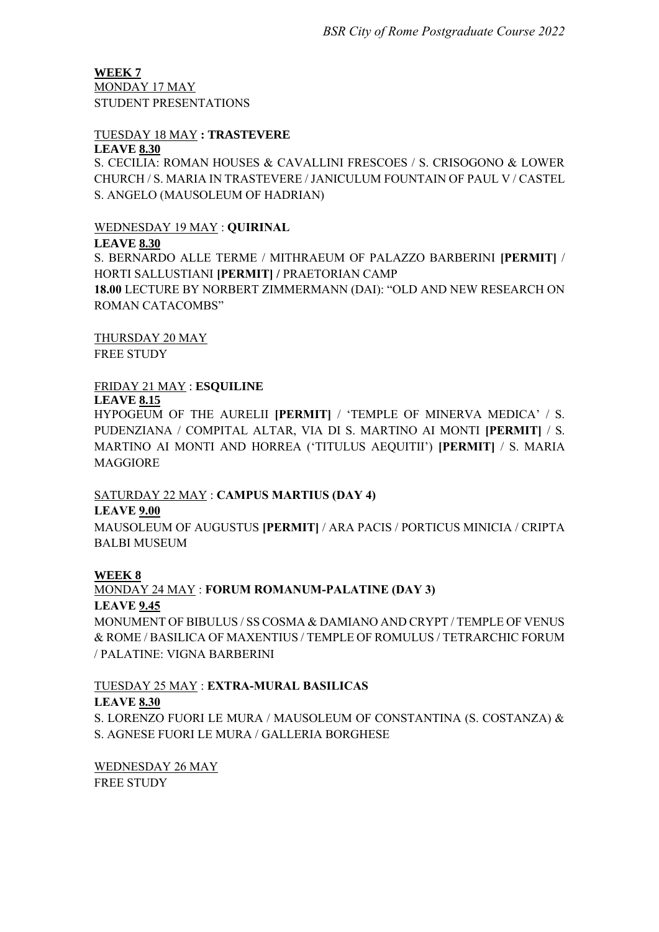**WEEK 7** MONDAY 17 MAY STUDENT PRESENTATIONS

#### TUESDAY 18 MAY **: TRASTEVERE LEAVE 8.30**

S. CECILIA: ROMAN HOUSES & CAVALLINI FRESCOES / S. CRISOGONO & LOWER CHURCH / S. MARIA IN TRASTEVERE / JANICULUM FOUNTAIN OF PAUL V / CASTEL S. ANGELO (MAUSOLEUM OF HADRIAN)

# WEDNESDAY 19 MAY : **QUIRINAL**

### **LEAVE 8.30**

S. BERNARDO ALLE TERME / MITHRAEUM OF PALAZZO BARBERINI **[PERMIT]** / HORTI SALLUSTIANI **[PERMIT] /** PRAETORIAN CAMP **18.00** LECTURE BY NORBERT ZIMMERMANN (DAI): "OLD AND NEW RESEARCH ON ROMAN CATACOMBS"

THURSDAY 20 MAY

FREE STUDY

# FRIDAY 21 MAY : **ESQUILINE**

### **LEAVE 8.15**

HYPOGEUM OF THE AURELII **[PERMIT]** / 'TEMPLE OF MINERVA MEDICA' / S. PUDENZIANA / COMPITAL ALTAR, VIA DI S. MARTINO AI MONTI **[PERMIT]** / S. MARTINO AI MONTI AND HORREA ('TITULUS AEQUITII') **[PERMIT]** / S. MARIA MAGGIORE

# SATURDAY 22 MAY : **CAMPUS MARTIUS (DAY 4)**

# **LEAVE 9.00**

MAUSOLEUM OF AUGUSTUS **[PERMIT]** / ARA PACIS / PORTICUS MINICIA / CRIPTA BALBI MUSEUM

# **WEEK 8**

MONDAY 24 MAY : **FORUM ROMANUM-PALATINE (DAY 3) LEAVE 9.45**

MONUMENT OF BIBULUS / SS COSMA & DAMIANO AND CRYPT / TEMPLE OF VENUS & ROME / BASILICA OF MAXENTIUS / TEMPLE OF ROMULUS / TETRARCHIC FORUM / PALATINE: VIGNA BARBERINI

# TUESDAY 25 MAY : **EXTRA-MURAL BASILICAS**

# **LEAVE 8.30**

S. LORENZO FUORI LE MURA / MAUSOLEUM OF CONSTANTINA (S. COSTANZA) & S. AGNESE FUORI LE MURA / GALLERIA BORGHESE

WEDNESDAY 26 MAY FREE STUDY